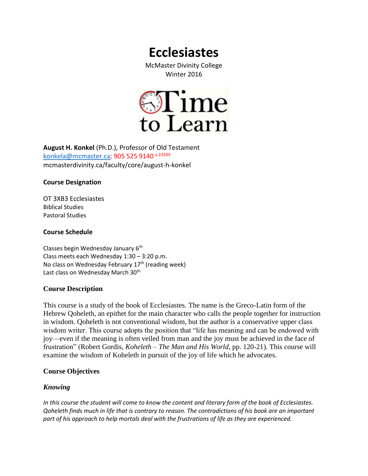# **Ecclesiastes**

McMaster Divinity College Winter 2016



**August H. Konkel** (Ph.D.), Professor of Old Testament [konkela@mcmaster.ca;](mailto:konkela@mcmaster.ca) 905 525 9140 x 23505 mcmasterdivinity.ca/faculty/core/august-h-konkel

## **Course Designation**

OT 3XB3 Ecclesiastes Biblical Studies Pastoral Studies

## **Course Schedule**

Classes begin Wednesday January 6<sup>th</sup> Class meets each Wednesday 1:30 – 3:20 p.m. No class on Wednesday February 17<sup>th</sup> (reading week) Last class on Wednesday March 30<sup>th</sup>

# **Course Description**

This course is a study of the book of Ecclesiastes. The name is the Greco-Latin form of the Hebrew Qoheleth, an epithet for the main character who calls the people together for instruction in wisdom. Qoheleth is not conventional wisdom, but the author is a conservative upper class wisdom writer. This course adopts the position that "life has meaning and can be endowed with joy—even if the meaning is often veiled from man and the joy must be achieved in the face of frustration" (Robert Gordis, *Koheleth – The Man and His World*, pp. 120-21). This course will examine the wisdom of Koheleth in pursuit of the joy of life which he advocates.

# **Course Objectives**

# *Knowing*

*In this course the student will come to know the content and literary form of the book of Ecclesiastes. Qoheleth finds much in life that is contrary to reason. The contradictions of his book are an important part of his approach to help mortals deal with the frustrations of life as they are experienced.*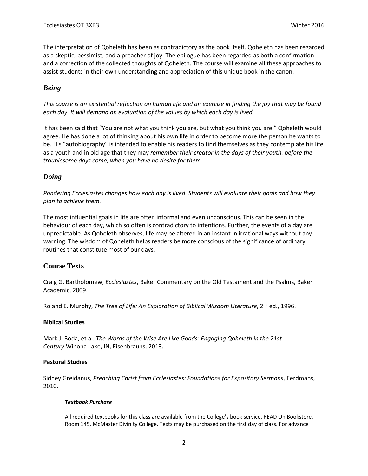The interpretation of Qoheleth has been as contradictory as the book itself. Qoheleth has been regarded as a skeptic, pessimist, and a preacher of joy. The epilogue has been regarded as both a confirmation and a correction of the collected thoughts of Qoheleth. The course will examine all these approaches to assist students in their own understanding and appreciation of this unique book in the canon.

# *Being*

*This course is an existential reflection on human life and an exercise in finding the joy that may be found each day. It will demand an evaluation of the values by which each day is lived.*

It has been said that "You are not what you think you are, but what you think you are." Qoheleth would agree. He has done a lot of thinking about his own life in order to become more the person he wants to be. His "autobiography" is intended to enable his readers to find themselves as they contemplate his life as a youth and in old age that they may *remember their creator in the days of their youth, before the troublesome days come, when you have no desire for them.*

# *Doing*

*Pondering Ecclesiastes changes how each day is lived. Students will evaluate their goals and how they plan to achieve them.*

The most influential goals in life are often informal and even unconscious. This can be seen in the behaviour of each day, which so often is contradictory to intentions. Further, the events of a day are unpredictable. As Qoheleth observes, life may be altered in an instant in irrational ways without any warning. The wisdom of Qoheleth helps readers be more conscious of the significance of ordinary routines that constitute most of our days.

# **Course Texts**

Craig G. Bartholomew, *Ecclesiastes*, Baker Commentary on the Old Testament and the Psalms, Baker Academic, 2009.

Roland E. Murphy, *The Tree of Life: An Exploration of Biblical Wisdom Literature*, 2<sup>nd</sup> ed., 1996.

## **Biblical Studies**

Mark J. Boda, et al. *The Words of the Wise Are Like Goads: Engaging Qoheleth in the 21st Century*.Winona Lake, IN, Eisenbrauns, 2013.

## **Pastoral Studies**

Sidney Greidanus, *Preaching Christ from Ecclesiastes: Foundations for Expository Sermons*, Eerdmans, 2010.

#### *Textbook Purchase*

All required textbooks for this class are available from the College's book service, READ On Bookstore, Room 145, McMaster Divinity College. Texts may be purchased on the first day of class. For advance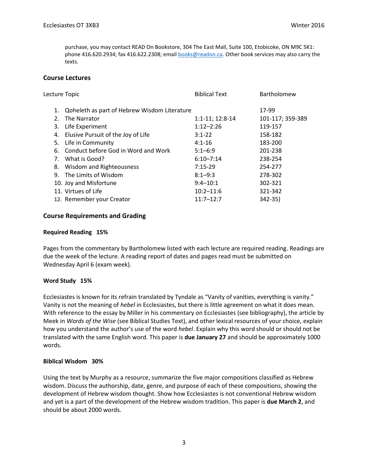purchase, you may contact READ On Bookstore, 304 The East Mall, Suite 100, Etobicoke, ON M9C 5K1: phone 416.620.2934; fax 416.622.2308; emai[l books@readon.ca.](mailto:books@readon.ca) Other book services may also carry the texts.

## **Course Lectures**

| Lecture Topic |    |                                                 | <b>Biblical Text</b> | Bartholomew      |
|---------------|----|-------------------------------------------------|----------------------|------------------|
|               |    | 1. Qoheleth as part of Hebrew Wisdom Literature |                      | 17-99            |
|               | 2. | The Narrator                                    | 1:1-11; 12:8-14      | 101-117; 359-389 |
|               | 3. | Life Experiment                                 | $1:12 - 2:26$        | 119-157          |
|               |    | 4. Elusive Pursuit of the Joy of Life           | $3:1 - 22$           | 158-182          |
|               |    | 5. Life in Community                            | $4:1 - 16$           | 183-200          |
|               |    | 6. Conduct before God in Word and Work          | $5:1 - 6:9$          | 201-238          |
|               |    | 7. What is Good?                                | $6:10 - 7:14$        | 238-254          |
|               | 8. | <b>Wisdom and Righteousness</b>                 | $7:15-29$            | 254-277          |
|               |    | 9. The Limits of Wisdom                         | $8:1 - 9:3$          | 278-302          |
|               |    | 10. Joy and Misfortune                          | $9:4 - 10:1$         | 302-321          |
|               |    | 11. Virtues of Life                             | $10:2 - 11:6$        | 321-342          |
|               |    | 12. Remember your Creator                       | $11:7 - 12:7$        | 342-35)          |
|               |    |                                                 |                      |                  |

## **Course Requirements and Grading**

#### **Required Reading 15%**

Pages from the commentary by Bartholomew listed with each lecture are required reading. Readings are due the week of the lecture. A reading report of dates and pages read must be submitted on Wednesday April 6 (exam week).

#### **Word Study 15%**

Ecclesiastes is known for its refrain translated by Tyndale as "Vanity of vanities, everything is vanity." Vanity is not the meaning of *hebel* in Ecclesiastes, but there is little agreement on what it does mean. With reference to the essay by Miller in his commentary on Ecclesiastes (see bibliography), the article by Meek in *Words of the Wise* (see Biblical Studies Text), and other lexical resources of your choice, explain how you understand the author's use of the word *hebel*. Explain why this word should or should not be translated with the same English word. This paper is **due January 27** and should be approximately 1000 words.

#### **Biblical Wisdom 30%**

Using the text by Murphy as a resource, summarize the five major compositions classified as Hebrew wisdom. Discuss the authorship, date, genre, and purpose of each of these compositions, showing the development of Hebrew wisdom thought. Show how Ecclesiastes is not conventional Hebrew wisdom and yet is a part of the development of the Hebrew wisdom tradition. This paper is **due March 2**, and should be about 2000 words.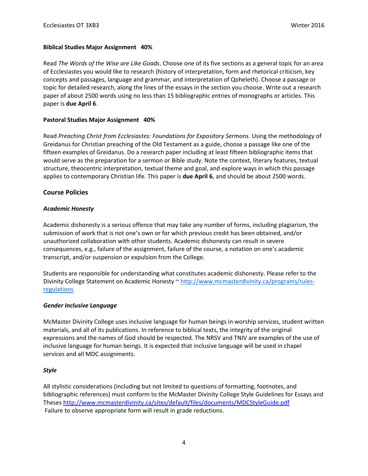## **Biblical Studies Major Assignment 40%**

Read *The Words of the Wise are Like Goads*. Choose one of its five sections as a general topic for an area of Ecclesiastes you would like to research (history of interpretation, form and rhetorical criticism, key concepts and passages, language and grammar, and interpretation of Qoheleth). Choose a passage or topic for detailed research, along the lines of the essays in the section you choose. Write out a research paper of about 2500 words using no less than 15 bibliographic entries of monographs or articles. This paper is **due April 6**.

## **Pastoral Studies Major Assignment 40%**

Read *Preaching Christ from Ecclesiastes: Foundations for Expository Sermons*. Using the methodology of Greidanus for Christian preaching of the Old Testament as a guide, choose a passage like one of the fifteen examples of Greidanus. Do a research paper including at least fifteen bibliographic items that would serve as the preparation for a sermon or Bible study. Note the context, literary features, textual structure, theocentric interpretation, textual theme and goal, and explore ways in which this passage applies to contemporary Christian life. This paper is **due April 6**, and should be about 2500 words.

# **Course Policies**

## *Academic Honesty*

Academic dishonesty is a serious offence that may take any number of forms, including plagiarism, the submission of work that is not one's own or for which previous credit has been obtained, and/or unauthorized collaboration with other students. Academic dishonesty can result in severe consequences, e.g., failure of the assignment, failure of the course, a notation on one's academic transcript, and/or suspension or expulsion from the College.

Students are responsible for understanding what constitutes academic dishonesty. Please refer to the Divinity College Statement on Academic Honesty ~ [http://www.mcmasterdivinity.ca/programs/rules](http://www.mcmasterdivinity.ca/programs/rules-regulations)[regulations](http://www.mcmasterdivinity.ca/programs/rules-regulations)

## *Gender Inclusive Language*

McMaster Divinity College uses inclusive language for human beings in worship services, student written materials, and all of its publications. In reference to biblical texts, the integrity of the original expressions and the names of God should be respected. The NRSV and TNIV are examples of the use of inclusive language for human beings. It is expected that inclusive language will be used in chapel services and all MDC assignments.

## *Style*

All stylistic considerations (including but not limited to questions of formatting, footnotes, and bibliographic references) must conform to the McMaster Divinity College Style Guidelines for Essays and Theses<http://www.mcmasterdivinity.ca/sites/default/files/documents/MDCStyleGuide.pdf> Failure to observe appropriate form will result in grade reductions.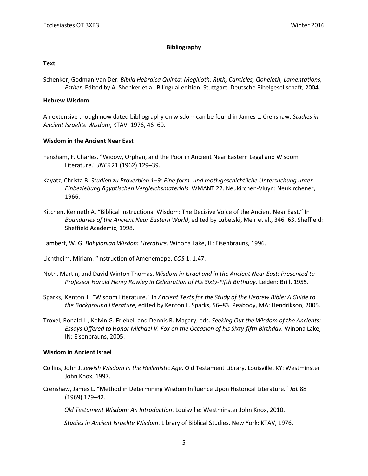#### **Bibliography**

#### **Text**

Schenker, Godman Van Der. *Biblia Hebraica Quinta: Megilloth: Ruth, Canticles, Qoheleth, Lamentations, Esther*. Edited by A. Shenker et al. Bilingual edition. Stuttgart: Deutsche Bibelgesellschaft, 2004.

#### **Hebrew Wisdom**

An extensive though now dated bibliography on wisdom can be found in James L. Crenshaw, *Studies in Ancient Israelite Wisdom*, KTAV, 1976, 46–60.

#### **Wisdom in the Ancient Near East**

- Fensham, F. Charles. "Widow, Orphan, and the Poor in Ancient Near Eastern Legal and Wisdom Literature." *JNES* 21 (1962) 129–39.
- Kayatz, Christa B. *Studien zu Proverbien 1–9: Eine form- und motivgeschichtliche Untersuchung unter Einbeziebung ägyptischen Vergleichsmaterials.* WMANT 22. Neukirchen-Vluyn: Neukirchener, 1966.
- Kitchen, Kenneth A. "Biblical Instructional Wisdom: The Decisive Voice of the Ancient Near East." In *Boundaries of the Ancient Near Eastern World*, edited by Lubetski, Meir et al., 346–63. Sheffield: Sheffield Academic, 1998.

Lambert, W. G. *Babylonian Wisdom Literature*. Winona Lake, IL: Eisenbrauns, 1996.

Lichtheim, Miriam. "Instruction of Amenemope. *COS* 1: 1.47.

- Noth, Martin, and David Winton Thomas. *Wisdom in Israel and in the Ancient Near East: Presented to Professor Harold Henry Rowley in Celebration of His Sixty-Fifth Birthday*. Leiden: Brill, 1955.
- Sparks, Kenton L. "Wisdom Literature." In *Ancient Texts for the Study of the Hebrew Bible: A Guide to the Background Literature*, edited by Kenton L. Sparks, 56–83. Peabody, MA: Hendrikson, 2005.
- Troxel, Ronald L., Kelvin G. Friebel, and Dennis R. Magary, eds. *Seeking Out the Wisdom of the Ancients: Essays Offered to* H*onor Michael V. Fox on the Occasion of his Sixty‐fifth Birthday.* Winona Lake, IN: Eisenbrauns, 2005.

#### **Wisdom in Ancient Israel**

- Collins, John J. *Jewish Wisdom in the Hellenistic Age*. Old Testament Library. Louisville, KY: Westminster John Knox, 1997.
- Crenshaw, James L. "Method in Determining Wisdom Influence Upon Historical Literature." *JBL* 88 (1969) 129–42.
- ———. *Old Testament Wisdom: An Introduction*. Louisville: Westminster John Knox, 2010.
- ———. *Studies in Ancient Israelite Wisdom*. Library of Biblical Studies. New York: KTAV, 1976.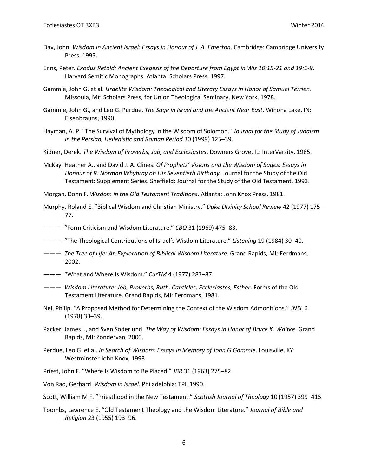- Day, John. *Wisdom in Ancient Israel: Essays in Honour of J. A. Emerton*. Cambridge: Cambridge University Press, 1995.
- Enns, Peter. *Exodus Retold: Ancient Exegesis of the Departure from Egypt in Wis 10:15-21 and 19:1-9*. Harvard Semitic Monographs. Atlanta: Scholars Press, 1997.
- Gammie, John G. et al. *Israelite Wisdom: Theological and Literary Essays in Honor of Samuel Terrien*. Missoula, Mt: Scholars Press, for Union Theological Seminary, New York, 1978.
- Gammie, John G., and Leo G. Purdue. *The Sage in Israel and the Ancient Near East*. Winona Lake, IN: Eisenbrauns, 1990.
- Hayman, A. P. "The Survival of Mythology in the Wisdom of Solomon." *Journal for the Study of Judaism in the Persian, Hellenistic and Roman Period* 30 (1999) 125–39.
- Kidner, Derek. *The Wisdom of Proverbs, Job, and Ecclesiastes*. Downers Grove, IL: InterVarsity, 1985.
- McKay, Heather A., and David J. A. Clines. *Of Prophets' Visions and the Wisdom of Sages: Essays in Honour of R. Norman Whybray on His Seventieth Birthday*. Journal for the Study of the Old Testament: Supplement Series. Sheffield: Journal for the Study of the Old Testament, 1993.
- Morgan, Donn F. *Wisdom in the Old Testament Traditions*. Atlanta: John Knox Press, 1981.
- Murphy, Roland E. "Biblical Wisdom and Christian Ministry." *Duke Divinity School Review* 42 (1977) 175– 77.
- ———. "Form Criticism and Wisdom Literature." *CBQ* 31 (1969) 475–83.
- ———. "The Theological Contributions of Israel's Wisdom Literature." *Listening* 19 (1984) 30–40.
- ———. *The Tree of Life: An Exploration of Biblical Wisdom Literature*. Grand Rapids, MI: Eerdmans, 2002.
- ———. "What and Where Is Wisdom." *CurTM* 4 (1977) 283–87.
- ———. *Wisdom Literature: Job, Proverbs, Ruth, Canticles, Ecclesiastes, Esther*. Forms of the Old Testament Literature. Grand Rapids, MI: Eerdmans, 1981.
- Nel, Philip. "A Proposed Method for Determining the Context of the Wisdom Admonitions." *JNSL* 6 (1978) 33–39.
- Packer, James I., and Sven Soderlund. *The Way of Wisdom: Essays in Honor of Bruce K. Waltke*. Grand Rapids, MI: Zondervan, 2000.
- Perdue, Leo G. et al. *In Search of Wisdom: Essays in Memory of John G Gammie*. Louisville, KY: Westminster John Knox, 1993.
- Priest, John F. "Where Is Wisdom to Be Placed." *JBR* 31 (1963) 275–82.

Von Rad, Gerhard. *Wisdom in Israel*. Philadelphia: TPI, 1990.

- Scott, William M F. "Priesthood in the New Testament." *Scottish Journal of Theology* 10 (1957) 399–415.
- Toombs, Lawrence E. "Old Testament Theology and the Wisdom Literature." *Journal of Bible and Religion* 23 (1955) 193–96.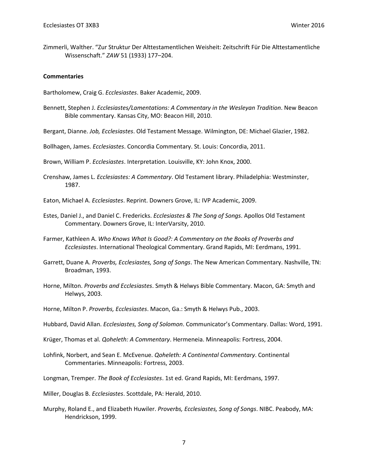Zimmerli, Walther. "Zur Struktur Der Alttestamentlichen Weisheit: Zeitschrift Für Die Alttestamentliche Wissenschaft." *ZAW* 51 (1933) 177–204.

#### **Commentaries**

Bartholomew, Craig G. *Ecclesiastes*. Baker Academic, 2009.

- Bennett, Stephen J. *Ecclesiastes/Lamentations: A Commentary in the Wesleyan Tradition*. New Beacon Bible commentary. Kansas City, MO: Beacon Hill, 2010.
- Bergant, Dianne. *Job, Ecclesiastes*. Old Testament Message. Wilmington, DE: Michael Glazier, 1982.

Bollhagen, James. *Ecclesiastes*. Concordia Commentary. St. Louis: Concordia, 2011.

Brown, William P. *Ecclesiastes*. Interpretation. Louisville, KY: John Knox, 2000.

Crenshaw, James L. *Ecclesiastes: A Commentary*. Old Testament library. Philadelphia: Westminster, 1987.

Eaton, Michael A. *Ecclesiastes*. Reprint. Downers Grove, IL: IVP Academic, 2009.

- Estes, Daniel J., and Daniel C. Fredericks. *Ecclesiastes & The Song of Songs*. Apollos Old Testament Commentary. Downers Grove, IL: InterVarsity, 2010.
- Farmer, Kathleen A. *Who Knows What Is Good?: A Commentary on the Books of Proverbs and Ecclesiastes*. International Theological Commentary. Grand Rapids, MI: Eerdmans, 1991.
- Garrett, Duane A. *Proverbs, Ecclesiastes, Song of Songs*. The New American Commentary. Nashville, TN: Broadman, 1993.
- Horne, Milton. *Proverbs and Ecclesiastes*. Smyth & Helwys Bible Commentary. Macon, GA: Smyth and Helwys, 2003.
- Horne, Milton P. *Proverbs, Ecclesiastes*. Macon, Ga.: Smyth & Helwys Pub., 2003.
- Hubbard, David Allan. *Ecclesiastes, Song of Solomon*. Communicator's Commentary. Dallas: Word, 1991.
- Krüger, Thomas et al. *Qoheleth: A Commentary*. Hermeneia. Minneapolis: Fortress, 2004.
- Lohfink, Norbert, and Sean E. McEvenue. *Qoheleth: A Continental Commentary*. Continental Commentaries. Minneapolis: Fortress, 2003.
- Longman, Tremper. *The Book of Ecclesiastes*. 1st ed. Grand Rapids, MI: Eerdmans, 1997.
- Miller, Douglas B. *Ecclesiastes*. Scottdale, PA: Herald, 2010.
- Murphy, Roland E., and Elizabeth Huwiler. *Proverbs, Ecclesiastes, Song of Songs*. NIBC. Peabody, MA: Hendrickson, 1999.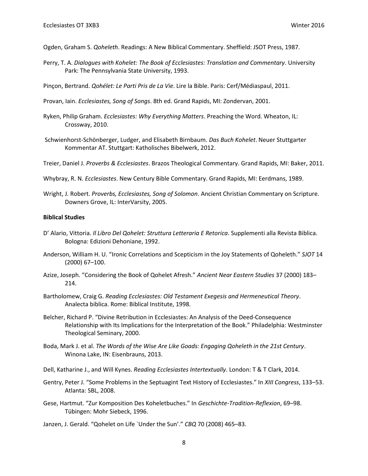Ogden, Graham S. *Qoheleth*. Readings: A New Biblical Commentary. Sheffield: JSOT Press, 1987.

Perry, T. A. *Dialogues with Kohelet: The Book of Ecclesiastes: Translation and Commentary*. University Park: The Pennsylvania State University, 1993.

Pinçon, Bertrand. *Qohélet: Le Parti Pris de La Vie*. Lire la Bible. Paris: Cerf/Médiaspaul, 2011.

Provan, Iain. *Ecclesiastes, Song of Songs*. 8th ed. Grand Rapids, MI: Zondervan, 2001.

- Ryken, Philip Graham. *Ecclesiastes: Why Everything Matters*. Preaching the Word. Wheaton, IL: Crossway, 2010.
- Schwienhorst-Schönberger, Ludger, and Elisabeth Birnbaum. *Das Buch Kohelet*. Neuer Stuttgarter Kommentar AT. Stuttgart: Katholisches Bibelwerk, 2012.

Treier, Daniel J. *Proverbs & Ecclesiastes*. Brazos Theological Commentary. Grand Rapids, MI: Baker, 2011.

Whybray, R. N. *Ecclesiastes*. New Century Bible Commentary. Grand Rapids, MI: Eerdmans, 1989.

Wright, J. Robert. *Proverbs, Ecclesiastes, Song of Solomon*. Ancient Christian Commentary on Scripture. Downers Grove, IL: InterVarsity, 2005.

#### **Biblical Studies**

- D' Alario, Vittoria. *Il Libro Del Qohelet: Struttura Letteraria E Retorica*. Supplementi alla Revista Biblica. Bologna: Edizioni Dehoniane, 1992.
- Anderson, William H. U. "Ironic Correlations and Scepticism in the Joy Statements of Qoheleth." *SJOT* 14 (2000) 67–100.
- Azize, Joseph. "Considering the Book of Qohelet Afresh." *Ancient Near Eastern Studies* 37 (2000) 183– 214.
- Bartholomew, Craig G. *Reading Ecclesiastes: Old Testament Exegesis and Hermeneutical Theory*. Analecta biblica. Rome: Biblical Institute, 1998.
- Belcher, Richard P. "Divine Retribution in Ecclesiastes: An Analysis of the Deed-Consequence Relationship with Its Implications for the Interpretation of the Book." Philadelphia: Westminster Theological Seminary, 2000.
- Boda, Mark J. et al. *The Words of the Wise Are Like Goads: Engaging Qoheleth in the 21st Century*. Winona Lake, IN: Eisenbrauns, 2013.

Dell, Katharine J., and Will Kynes. *Reading Ecclesiastes Intertextually*. London: T & T Clark, 2014.

- Gentry, Peter J. "Some Problems in the Septuagint Text History of Ecclesiastes." In *XIII Congress*, 133–53. Atlanta: SBL, 2008.
- Gese, Hartmut. "Zur Komposition Des Koheletbuches." In *Geschichte-Tradition-Reflexion*, 69–98. Tübingen: Mohr Siebeck, 1996.
- Janzen, J. Gerald. "Qohelet on Life `Under the Sun'." *CBQ* 70 (2008) 465–83.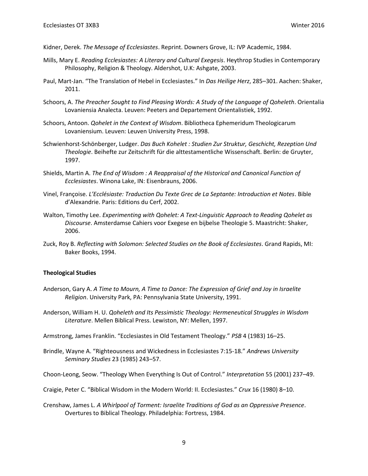- Kidner, Derek. *The Message of Ecclesiastes*. Reprint. Downers Grove, IL: IVP Academic, 1984.
- Mills, Mary E. *Reading Ecclesiastes: A Literary and Cultural Exegesis*. Heythrop Studies in Contemporary Philosophy, Religion & Theology. Aldershot, U.K: Ashgate, 2003.
- Paul, Mart-Jan. "The Translation of Hebel in Ecclesiastes." In *Das Heilige Herz*, 285–301. Aachen: Shaker, 2011.
- Schoors, A. *The Preacher Sought to Find Pleasing Words: A Study of the Language of Qoheleth*. Orientalia Lovaniensia Analecta. Leuven: Peeters and Departement Orientalistiek, 1992.
- Schoors, Antoon. *Qohelet in the Context of Wisdom*. Bibliotheca Ephemeridum Theologicarum Lovaniensium. Leuven: Leuven University Press, 1998.
- Schwienhorst-Schönberger, Ludger. *Das Buch Kohelet : Studien Zur Struktur, Geschicht, Rezeption Und Theologie*. Beihefte zur Zeitschrift für die alttestamentliche Wissenschaft. Berlin: de Gruyter, 1997.
- Shields, Martin A. *The End of Wisdom : A Reappraisal of the Historical and Canonical Function of Ecclesiastes*. Winona Lake, IN: Eisenbrauns, 2006.
- Vinel, Françoise. *L'Ecclésiaste: Traduction Du Texte Grec de La Septante: Introduction et Notes*. Bible d'Alexandrie. Paris: Editions du Cerf, 2002.
- Walton, Timothy Lee. *Experimenting with Qohelet: A Text-Linguistic Approach to Reading Qohelet as Discourse*. Amsterdamse Cahiers voor Exegese en bijbelse Theologie 5. Maastricht: Shaker, 2006.
- Zuck, Roy B. *Reflecting with Solomon: Selected Studies on the Book of Ecclesiastes*. Grand Rapids, MI: Baker Books, 1994.

#### **Theological Studies**

- Anderson, Gary A. *A Time to Mourn, A Time to Dance: The Expression of Grief and Joy in Israelite Religion*. University Park, PA: Pennsylvania State University, 1991.
- Anderson, William H. U. *Qoheleth and Its Pessimistic Theology: Hermeneutical Struggles in Wisdom Literature*. Mellen Biblical Press. Lewiston, NY: Mellen, 1997.

Armstrong, James Franklin. "Ecclesiastes in Old Testament Theology." *PSB* 4 (1983) 16–25.

Brindle, Wayne A. "Righteousness and Wickedness in Ecclesiastes 7:15-18." *Andrews University Seminary Studies* 23 (1985) 243–57.

Choon-Leong, Seow. "Theology When Everything Is Out of Control." *Interpretation* 55 (2001) 237–49.

Craigie, Peter C. "Biblical Wisdom in the Modern World: II. Ecclesiastes." *Crux* 16 (1980) 8–10.

Crenshaw, James L. *A Whirlpool of Torment: Israelite Traditions of God as an Oppressive Presence*. Overtures to Biblical Theology. Philadelphia: Fortress, 1984.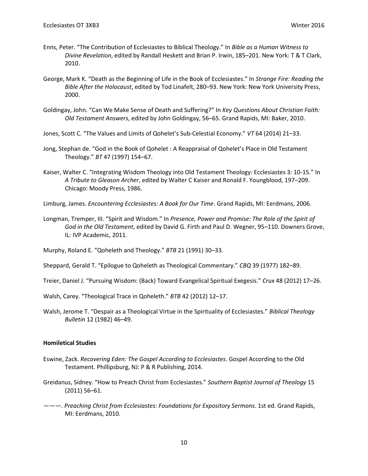- Enns, Peter. "The Contribution of Ecclesiastes to Biblical Theology." In *Bible as a Human Witness to Divine Revelation*, edited by Randall Heskett and Brian P. Irwin, 185–201. New York: T & T Clark, 2010.
- George, Mark K. "Death as the Beginning of Life in the Book of Ecclesiastes." In *Strange Fire: Reading the Bible After the Holocaust*, edited by Tod Linafelt, 280–93. New York: New York University Press, 2000.
- Goldingay, John. "Can We Make Sense of Death and Suffering?" In *Key Questions About Christian Faith: Old Testament Answers*, edited by John Goldingay, 56–65. Grand Rapids, MI: Baker, 2010.
- Jones, Scott C. "The Values and Limits of Qohelet's Sub-Celestial Economy." *VT* 64 (2014) 21–33.
- Jong, Stephan de. "God in the Book of Qohelet : A Reappraisal of Qohelet's Place in Old Testament Theology." *BT* 47 (1997) 154–67.
- Kaiser, Walter C. "Integrating Wisdom Theology into Old Testament Theology: Ecclesiastes 3: 10-15." In *A Tribute to Gleason Archer*, edited by Walter C Kaiser and Ronald F. Youngblood, 197–209. Chicago: Moody Press, 1986.
- Limburg, James. *Encountering Ecclesiastes: A Book for Our Time*. Grand Rapids, MI: Eerdmans, 2006.
- Longman, Tremper, III. "Spirit and Wisdom." In *Presence, Power and Promise: The Role of the Spirit of God in the Old Testament*, edited by David G. Firth and Paul D. Wegner, 95–110. Downers Grove, IL: IVP Academic, 2011.
- Murphy, Roland E. "Qoheleth and Theology." *BTB* 21 (1991) 30–33.
- Sheppard, Gerald T. "Epilogue to Qoheleth as Theological Commentary." *CBQ* 39 (1977) 182–89.
- Treier, Daniel J. "Pursuing Wisdom: (Back) Toward Evangelical Spiritual Exegesis." *Crux* 48 (2012) 17–26.
- Walsh, Carey. "Theological Trace in Qoheleth." *BTB* 42 (2012) 12–17.
- Walsh, Jerome T. "Despair as a Theological Virtue in the Spirituality of Ecclesiastes." *Biblical Theology Bulletin* 12 (1982) 46–49.

#### **Homiletical Studies**

- Eswine, Zack. *Recovering Eden: The Gospel According to Ecclesiastes*. Gospel According to the Old Testament. Phillipsburg, NJ: P & R Publishing, 2014.
- Greidanus, Sidney. "How to Preach Christ from Ecclesiastes." *Southern Baptist Journal of Theology* 15 (2011) 56–61.
- ———. *Preaching Christ from Ecclesiastes: Foundations for Expository Sermons*. 1st ed. Grand Rapids, MI: Eerdmans, 2010.